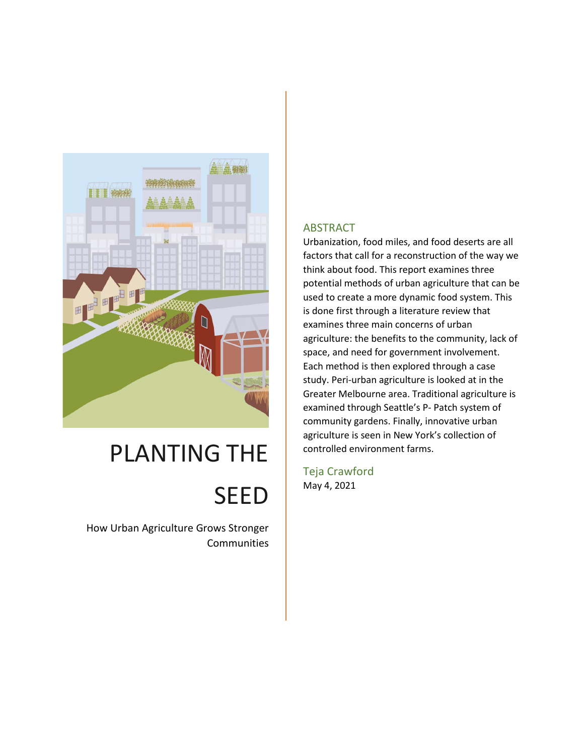

## PLANTING THE

# **SEED**

How Urban Agriculture Grows Stronger **Communities** 

#### **ABSTRACT**

Urbanization, food miles, and food deserts are all factors that call for a reconstruction of the way we think about food. This report examines three potential methods of urban agriculture that can be used to create a more dynamic food system. This is done first through a literature review that examines three main concerns of urban agriculture: the benefits to the community, lack of space, and need for government involvement. Each method is then explored through a case study. Peri-urban agriculture is looked at in the Greater Melbourne area. Traditional agriculture is examined through Seattle's P- Patch system of community gardens. Finally, innovative urban agriculture is seen in New York's collection of controlled environment farms.

Teja Crawford May 4, 2021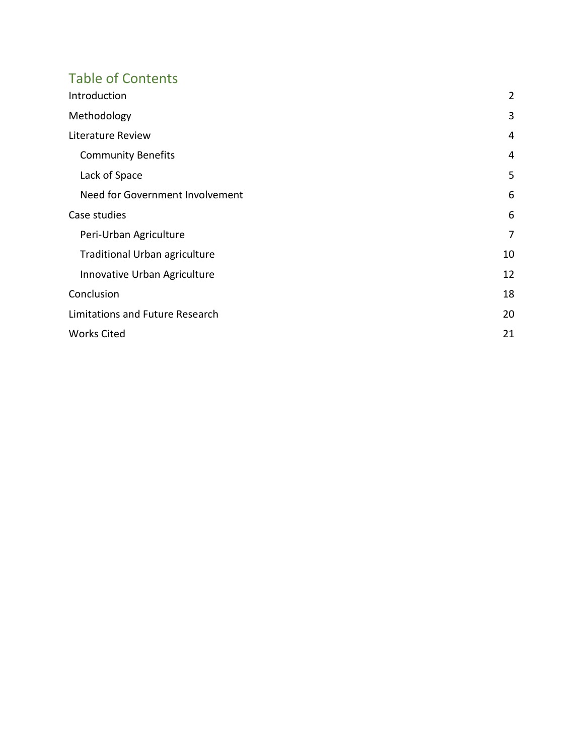## Table of Contents

| Introduction                         | $\overline{2}$ |
|--------------------------------------|----------------|
| Methodology                          | 3              |
| Literature Review                    | 4              |
| <b>Community Benefits</b>            | 4              |
| Lack of Space                        | 5              |
| Need for Government Involvement      | 6              |
| Case studies                         | 6              |
| Peri-Urban Agriculture               | 7              |
| <b>Traditional Urban agriculture</b> | 10             |
| Innovative Urban Agriculture         | 12             |
| Conclusion                           | 18             |
| Limitations and Future Research      | 20             |
| <b>Works Cited</b>                   | 21             |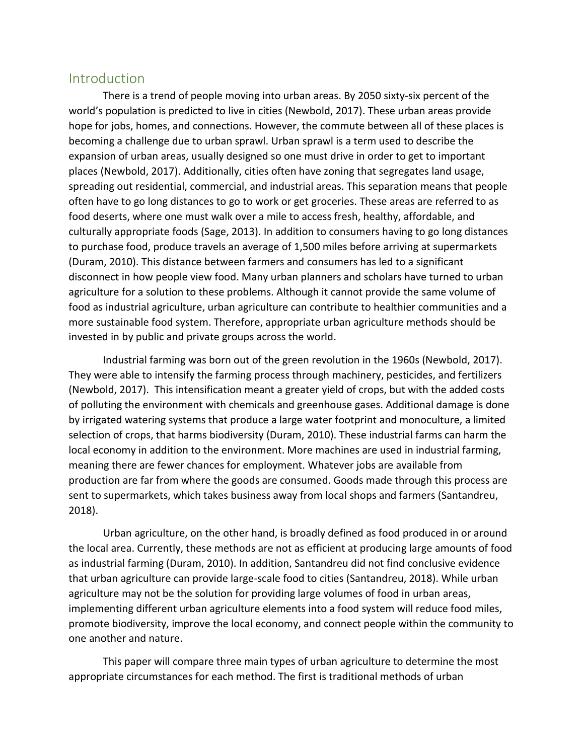### <span id="page-2-0"></span>**Introduction**

There is a trend of people moving into urban areas. By 2050 sixty-six percent of the world's population is predicted to live in cities (Newbold, 2017). These urban areas provide hope for jobs, homes, and connections. However, the commute between all of these places is becoming a challenge due to urban sprawl. Urban sprawl is a term used to describe the expansion of urban areas, usually designed so one must drive in order to get to important places (Newbold, 2017). Additionally, cities often have zoning that segregates land usage, spreading out residential, commercial, and industrial areas. This separation means that people often have to go long distances to go to work or get groceries. These areas are referred to as food deserts, where one must walk over a mile to access fresh, healthy, affordable, and culturally appropriate foods (Sage, 2013). In addition to consumers having to go long distances to purchase food, produce travels an average of 1,500 miles before arriving at supermarkets (Duram, 2010). This distance between farmers and consumers has led to a significant disconnect in how people view food. Many urban planners and scholars have turned to urban agriculture for a solution to these problems. Although it cannot provide the same volume of food as industrial agriculture, urban agriculture can contribute to healthier communities and a more sustainable food system. Therefore, appropriate urban agriculture methods should be invested in by public and private groups across the world.

Industrial farming was born out of the green revolution in the 1960s (Newbold, 2017). They were able to intensify the farming process through machinery, pesticides, and fertilizers (Newbold, 2017). This intensification meant a greater yield of crops, but with the added costs of polluting the environment with chemicals and greenhouse gases. Additional damage is done by irrigated watering systems that produce a large water footprint and monoculture, a limited selection of crops, that harms biodiversity (Duram, 2010). These industrial farms can harm the local economy in addition to the environment. More machines are used in industrial farming, meaning there are fewer chances for employment. Whatever jobs are available from production are far from where the goods are consumed. Goods made through this process are sent to supermarkets, which takes business away from local shops and farmers (Santandreu, 2018).

Urban agriculture, on the other hand, is broadly defined as food produced in or around the local area. Currently, these methods are not as efficient at producing large amounts of food as industrial farming (Duram, 2010). In addition, Santandreu did not find conclusive evidence that urban agriculture can provide large-scale food to cities (Santandreu, 2018). While urban agriculture may not be the solution for providing large volumes of food in urban areas, implementing different urban agriculture elements into a food system will reduce food miles, promote biodiversity, improve the local economy, and connect people within the community to one another and nature.

This paper will compare three main types of urban agriculture to determine the most appropriate circumstances for each method. The first is traditional methods of urban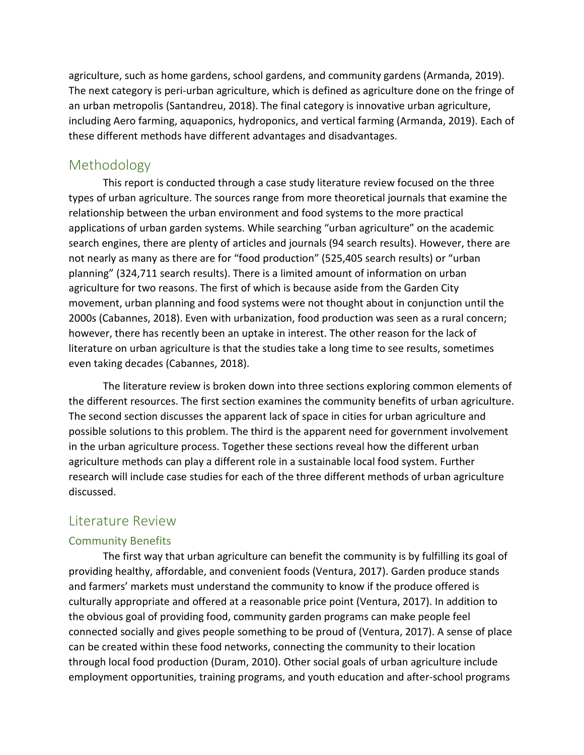agriculture, such as home gardens, school gardens, and community gardens (Armanda, 2019). The next category is peri-urban agriculture, which is defined as agriculture done on the fringe of an urban metropolis (Santandreu, 2018). The final category is innovative urban agriculture, including Aero farming, aquaponics, hydroponics, and vertical farming (Armanda, 2019). Each of these different methods have different advantages and disadvantages.

## <span id="page-3-0"></span>Methodology

This report is conducted through a case study literature review focused on the three types of urban agriculture. The sources range from more theoretical journals that examine the relationship between the urban environment and food systems to the more practical applications of urban garden systems. While searching "urban agriculture" on the academic search engines, there are plenty of articles and journals (94 search results). However, there are not nearly as many as there are for "food production" (525,405 search results) or "urban planning" (324,711 search results). There is a limited amount of information on urban agriculture for two reasons. The first of which is because aside from the Garden City movement, urban planning and food systems were not thought about in conjunction until the 2000s (Cabannes, 2018). Even with urbanization, food production was seen as a rural concern; however, there has recently been an uptake in interest. The other reason for the lack of literature on urban agriculture is that the studies take a long time to see results, sometimes even taking decades (Cabannes, 2018).

The literature review is broken down into three sections exploring common elements of the different resources. The first section examines the community benefits of urban agriculture. The second section discusses the apparent lack of space in cities for urban agriculture and possible solutions to this problem. The third is the apparent need for government involvement in the urban agriculture process. Together these sections reveal how the different urban agriculture methods can play a different role in a sustainable local food system. Further research will include case studies for each of the three different methods of urban agriculture discussed.

## <span id="page-3-1"></span>Literature Review

#### <span id="page-3-2"></span>Community Benefits

The first way that urban agriculture can benefit the community is by fulfilling its goal of providing healthy, affordable, and convenient foods (Ventura, 2017). Garden produce stands and farmers' markets must understand the community to know if the produce offered is culturally appropriate and offered at a reasonable price point (Ventura, 2017). In addition to the obvious goal of providing food, community garden programs can make people feel connected socially and gives people something to be proud of (Ventura, 2017). A sense of place can be created within these food networks, connecting the community to their location through local food production (Duram, 2010). Other social goals of urban agriculture include employment opportunities, training programs, and youth education and after-school programs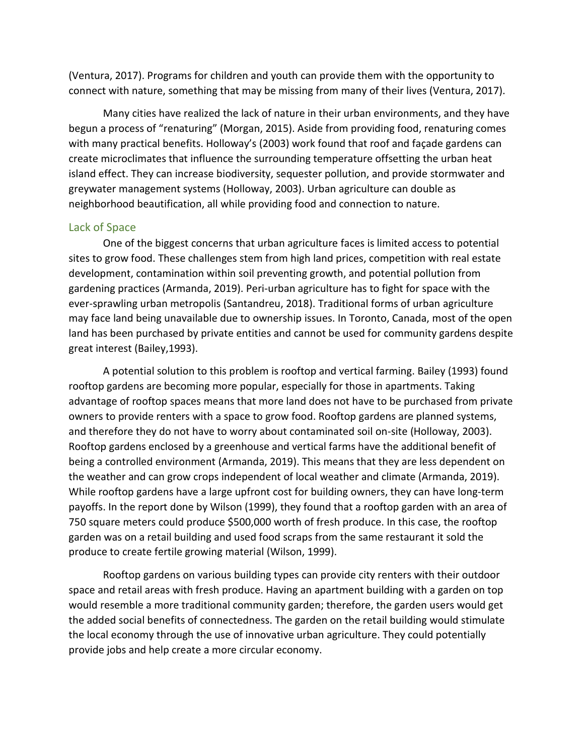(Ventura, 2017). Programs for children and youth can provide them with the opportunity to connect with nature, something that may be missing from many of their lives (Ventura, 2017).

Many cities have realized the lack of nature in their urban environments, and they have begun a process of "renaturing" (Morgan, 2015). Aside from providing food, renaturing comes with many practical benefits. Holloway's (2003) work found that roof and façade gardens can create microclimates that influence the surrounding temperature offsetting the urban heat island effect. They can increase biodiversity, sequester pollution, and provide stormwater and greywater management systems (Holloway, 2003). Urban agriculture can double as neighborhood beautification, all while providing food and connection to nature.

#### <span id="page-4-0"></span>Lack of Space

One of the biggest concerns that urban agriculture faces is limited access to potential sites to grow food. These challenges stem from high land prices, competition with real estate development, contamination within soil preventing growth, and potential pollution from gardening practices (Armanda, 2019). Peri-urban agriculture has to fight for space with the ever-sprawling urban metropolis (Santandreu, 2018). Traditional forms of urban agriculture may face land being unavailable due to ownership issues. In Toronto, Canada, most of the open land has been purchased by private entities and cannot be used for community gardens despite great interest (Bailey,1993).

A potential solution to this problem is rooftop and vertical farming. Bailey (1993) found rooftop gardens are becoming more popular, especially for those in apartments. Taking advantage of rooftop spaces means that more land does not have to be purchased from private owners to provide renters with a space to grow food. Rooftop gardens are planned systems, and therefore they do not have to worry about contaminated soil on-site (Holloway, 2003). Rooftop gardens enclosed by a greenhouse and vertical farms have the additional benefit of being a controlled environment (Armanda, 2019). This means that they are less dependent on the weather and can grow crops independent of local weather and climate (Armanda, 2019). While rooftop gardens have a large upfront cost for building owners, they can have long-term payoffs. In the report done by Wilson (1999), they found that a rooftop garden with an area of 750 square meters could produce \$500,000 worth of fresh produce. In this case, the rooftop garden was on a retail building and used food scraps from the same restaurant it sold the produce to create fertile growing material (Wilson, 1999).

Rooftop gardens on various building types can provide city renters with their outdoor space and retail areas with fresh produce. Having an apartment building with a garden on top would resemble a more traditional community garden; therefore, the garden users would get the added social benefits of connectedness. The garden on the retail building would stimulate the local economy through the use of innovative urban agriculture. They could potentially provide jobs and help create a more circular economy.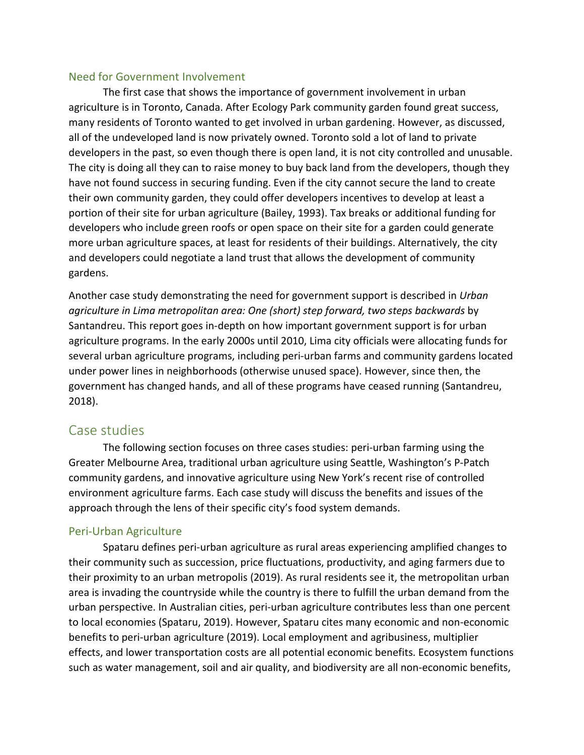#### <span id="page-5-0"></span>Need for Government Involvement

The first case that shows the importance of government involvement in urban agriculture is in Toronto, Canada. After Ecology Park community garden found great success, many residents of Toronto wanted to get involved in urban gardening. However, as discussed, all of the undeveloped land is now privately owned. Toronto sold a lot of land to private developers in the past, so even though there is open land, it is not city controlled and unusable. The city is doing all they can to raise money to buy back land from the developers, though they have not found success in securing funding. Even if the city cannot secure the land to create their own community garden, they could offer developers incentives to develop at least a portion of their site for urban agriculture (Bailey, 1993). Tax breaks or additional funding for developers who include green roofs or open space on their site for a garden could generate more urban agriculture spaces, at least for residents of their buildings. Alternatively, the city and developers could negotiate a land trust that allows the development of community gardens.

Another case study demonstrating the need for government support is described in *Urban agriculture in Lima metropolitan area: One (short) step forward, two steps backwards* by Santandreu. This report goes in-depth on how important government support is for urban agriculture programs. In the early 2000s until 2010, Lima city officials were allocating funds for several urban agriculture programs, including peri-urban farms and community gardens located under power lines in neighborhoods (otherwise unused space). However, since then, the government has changed hands, and all of these programs have ceased running (Santandreu, 2018).

### <span id="page-5-1"></span>Case studies

The following section focuses on three cases studies: peri-urban farming using the Greater Melbourne Area, traditional urban agriculture using Seattle, Washington's P-Patch community gardens, and innovative agriculture using New York's recent rise of controlled environment agriculture farms. Each case study will discuss the benefits and issues of the approach through the lens of their specific city's food system demands.

#### <span id="page-5-2"></span>Peri-Urban Agriculture

Spataru defines peri-urban agriculture as rural areas experiencing amplified changes to their community such as succession, price fluctuations, productivity, and aging farmers due to their proximity to an urban metropolis (2019). As rural residents see it, the metropolitan urban area is invading the countryside while the country is there to fulfill the urban demand from the urban perspective. In Australian cities, peri-urban agriculture contributes less than one percent to local economies (Spataru, 2019). However, Spataru cites many economic and non-economic benefits to peri-urban agriculture (2019). Local employment and agribusiness, multiplier effects, and lower transportation costs are all potential economic benefits. Ecosystem functions such as water management, soil and air quality, and biodiversity are all non-economic benefits,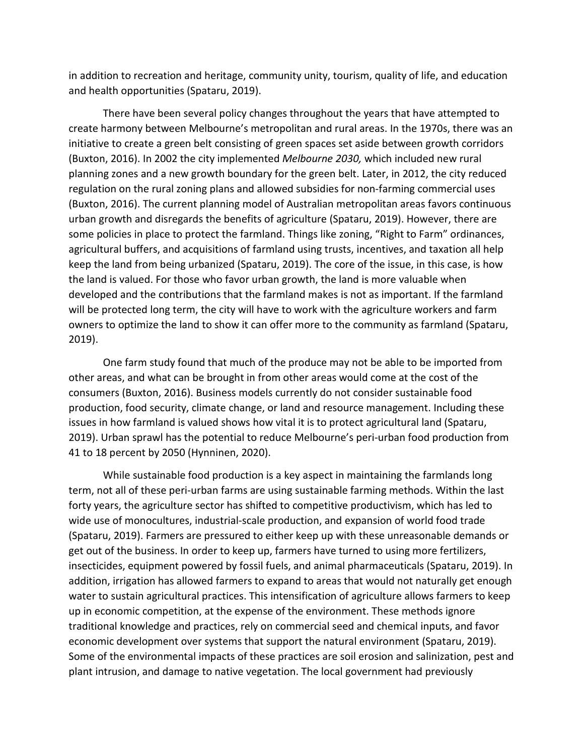in addition to recreation and heritage, community unity, tourism, quality of life, and education and health opportunities (Spataru, 2019).

There have been several policy changes throughout the years that have attempted to create harmony between Melbourne's metropolitan and rural areas. In the 1970s, there was an initiative to create a green belt consisting of green spaces set aside between growth corridors (Buxton, 2016). In 2002 the city implemented *Melbourne 2030,* which included new rural planning zones and a new growth boundary for the green belt. Later, in 2012, the city reduced regulation on the rural zoning plans and allowed subsidies for non-farming commercial uses (Buxton, 2016). The current planning model of Australian metropolitan areas favors continuous urban growth and disregards the benefits of agriculture (Spataru, 2019). However, there are some policies in place to protect the farmland. Things like zoning, "Right to Farm" ordinances, agricultural buffers, and acquisitions of farmland using trusts, incentives, and taxation all help keep the land from being urbanized (Spataru, 2019). The core of the issue, in this case, is how the land is valued. For those who favor urban growth, the land is more valuable when developed and the contributions that the farmland makes is not as important. If the farmland will be protected long term, the city will have to work with the agriculture workers and farm owners to optimize the land to show it can offer more to the community as farmland (Spataru, 2019).

One farm study found that much of the produce may not be able to be imported from other areas, and what can be brought in from other areas would come at the cost of the consumers (Buxton, 2016). Business models currently do not consider sustainable food production, food security, climate change, or land and resource management. Including these issues in how farmland is valued shows how vital it is to protect agricultural land (Spataru, 2019). Urban sprawl has the potential to reduce Melbourne's peri-urban food production from 41 to 18 percent by 2050 (Hynninen, 2020).

While sustainable food production is a key aspect in maintaining the farmlands long term, not all of these peri-urban farms are using sustainable farming methods. Within the last forty years, the agriculture sector has shifted to competitive productivism, which has led to wide use of monocultures, industrial-scale production, and expansion of world food trade (Spataru, 2019). Farmers are pressured to either keep up with these unreasonable demands or get out of the business. In order to keep up, farmers have turned to using more fertilizers, insecticides, equipment powered by fossil fuels, and animal pharmaceuticals (Spataru, 2019). In addition, irrigation has allowed farmers to expand to areas that would not naturally get enough water to sustain agricultural practices. This intensification of agriculture allows farmers to keep up in economic competition, at the expense of the environment. These methods ignore traditional knowledge and practices, rely on commercial seed and chemical inputs, and favor economic development over systems that support the natural environment (Spataru, 2019). Some of the environmental impacts of these practices are soil erosion and salinization, pest and plant intrusion, and damage to native vegetation. The local government had previously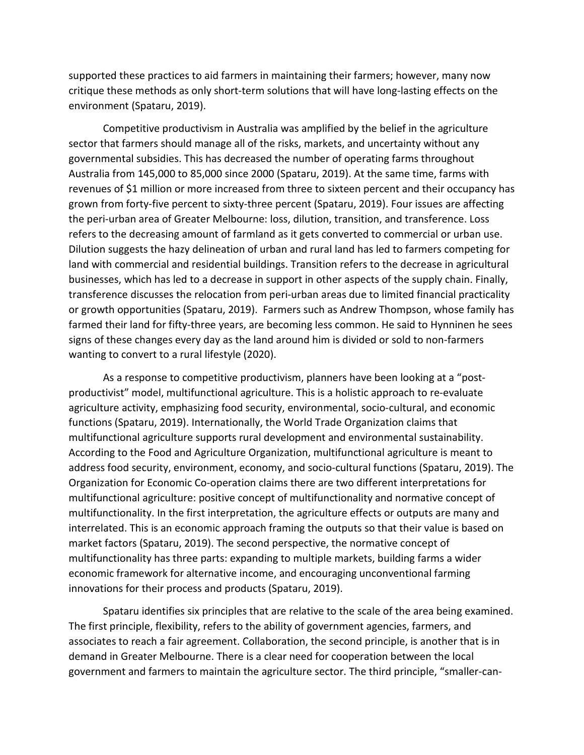supported these practices to aid farmers in maintaining their farmers; however, many now critique these methods as only short-term solutions that will have long-lasting effects on the environment (Spataru, 2019).

Competitive productivism in Australia was amplified by the belief in the agriculture sector that farmers should manage all of the risks, markets, and uncertainty without any governmental subsidies. This has decreased the number of operating farms throughout Australia from 145,000 to 85,000 since 2000 (Spataru, 2019). At the same time, farms with revenues of \$1 million or more increased from three to sixteen percent and their occupancy has grown from forty-five percent to sixty-three percent (Spataru, 2019). Four issues are affecting the peri-urban area of Greater Melbourne: loss, dilution, transition, and transference. Loss refers to the decreasing amount of farmland as it gets converted to commercial or urban use. Dilution suggests the hazy delineation of urban and rural land has led to farmers competing for land with commercial and residential buildings. Transition refers to the decrease in agricultural businesses, which has led to a decrease in support in other aspects of the supply chain. Finally, transference discusses the relocation from peri-urban areas due to limited financial practicality or growth opportunities (Spataru, 2019). Farmers such as Andrew Thompson, whose family has farmed their land for fifty-three years, are becoming less common. He said to Hynninen he sees signs of these changes every day as the land around him is divided or sold to non-farmers wanting to convert to a rural lifestyle (2020).

As a response to competitive productivism, planners have been looking at a "postproductivist" model, multifunctional agriculture. This is a holistic approach to re-evaluate agriculture activity, emphasizing food security, environmental, socio-cultural, and economic functions (Spataru, 2019). Internationally, the World Trade Organization claims that multifunctional agriculture supports rural development and environmental sustainability. According to the Food and Agriculture Organization, multifunctional agriculture is meant to address food security, environment, economy, and socio-cultural functions (Spataru, 2019). The Organization for Economic Co-operation claims there are two different interpretations for multifunctional agriculture: positive concept of multifunctionality and normative concept of multifunctionality. In the first interpretation, the agriculture effects or outputs are many and interrelated. This is an economic approach framing the outputs so that their value is based on market factors (Spataru, 2019). The second perspective, the normative concept of multifunctionality has three parts: expanding to multiple markets, building farms a wider economic framework for alternative income, and encouraging unconventional farming innovations for their process and products (Spataru, 2019).

Spataru identifies six principles that are relative to the scale of the area being examined. The first principle, flexibility, refers to the ability of government agencies, farmers, and associates to reach a fair agreement. Collaboration, the second principle, is another that is in demand in Greater Melbourne. There is a clear need for cooperation between the local government and farmers to maintain the agriculture sector. The third principle, "smaller-can-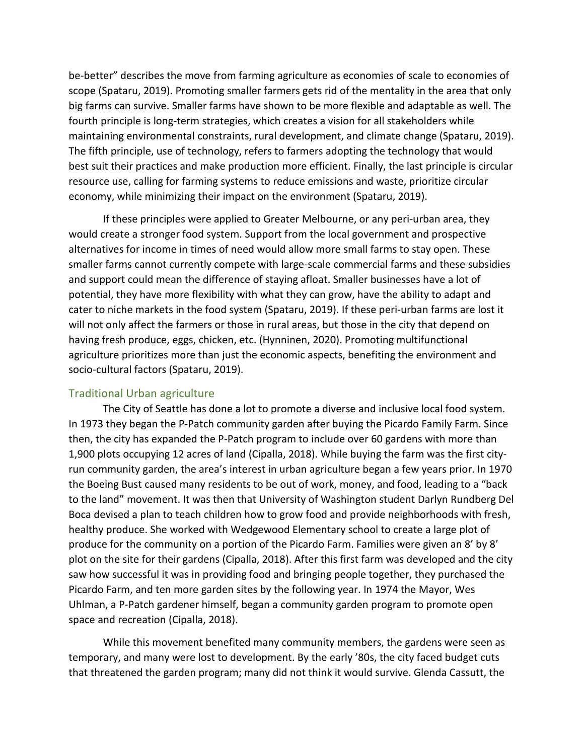be-better" describes the move from farming agriculture as economies of scale to economies of scope (Spataru, 2019). Promoting smaller farmers gets rid of the mentality in the area that only big farms can survive. Smaller farms have shown to be more flexible and adaptable as well. The fourth principle is long-term strategies, which creates a vision for all stakeholders while maintaining environmental constraints, rural development, and climate change (Spataru, 2019). The fifth principle, use of technology, refers to farmers adopting the technology that would best suit their practices and make production more efficient. Finally, the last principle is circular resource use, calling for farming systems to reduce emissions and waste, prioritize circular economy, while minimizing their impact on the environment (Spataru, 2019).

If these principles were applied to Greater Melbourne, or any peri-urban area, they would create a stronger food system. Support from the local government and prospective alternatives for income in times of need would allow more small farms to stay open. These smaller farms cannot currently compete with large-scale commercial farms and these subsidies and support could mean the difference of staying afloat. Smaller businesses have a lot of potential, they have more flexibility with what they can grow, have the ability to adapt and cater to niche markets in the food system (Spataru, 2019). If these peri-urban farms are lost it will not only affect the farmers or those in rural areas, but those in the city that depend on having fresh produce, eggs, chicken, etc. (Hynninen, 2020). Promoting multifunctional agriculture prioritizes more than just the economic aspects, benefiting the environment and socio-cultural factors (Spataru, 2019).

#### <span id="page-8-0"></span>Traditional Urban agriculture

The City of Seattle has done a lot to promote a diverse and inclusive local food system. In 1973 they began the P-Patch community garden after buying the Picardo Family Farm. Since then, the city has expanded the P-Patch program to include over 60 gardens with more than 1,900 plots occupying 12 acres of land (Cipalla, 2018). While buying the farm was the first cityrun community garden, the area's interest in urban agriculture began a few years prior. In 1970 the Boeing Bust caused many residents to be out of work, money, and food, leading to a "back to the land" movement. It was then that University of Washington student Darlyn Rundberg Del Boca devised a plan to teach children how to grow food and provide neighborhoods with fresh, healthy produce. She worked with Wedgewood Elementary school to create a large plot of produce for the community on a portion of the Picardo Farm. Families were given an 8' by 8' plot on the site for their gardens (Cipalla, 2018). After this first farm was developed and the city saw how successful it was in providing food and bringing people together, they purchased the Picardo Farm, and ten more garden sites by the following year. In 1974 the Mayor, Wes Uhlman, a P-Patch gardener himself, began a community garden program to promote open space and recreation (Cipalla, 2018).

While this movement benefited many community members, the gardens were seen as temporary, and many were lost to development. By the early '80s, the city faced budget cuts that threatened the garden program; many did not think it would survive. Glenda Cassutt, the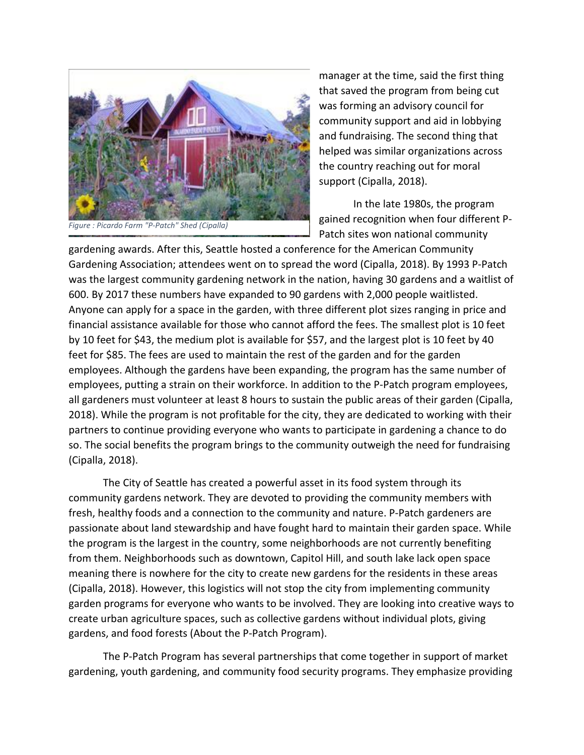

manager at the time, said the first thing that saved the program from being cut was forming an advisory council for community support and aid in lobbying and fundraising. The second thing that helped was similar organizations across the country reaching out for moral support (Cipalla, 2018).

In the late 1980s, the program gained recognition when four different P-Patch sites won national community

gardening awards. After this, Seattle hosted a conference for the American Community Gardening Association; attendees went on to spread the word (Cipalla, 2018). By 1993 P-Patch was the largest community gardening network in the nation, having 30 gardens and a waitlist of 600. By 2017 these numbers have expanded to 90 gardens with 2,000 people waitlisted. Anyone can apply for a space in the garden, with three different plot sizes ranging in price and financial assistance available for those who cannot afford the fees. The smallest plot is 10 feet by 10 feet for \$43, the medium plot is available for \$57, and the largest plot is 10 feet by 40 feet for \$85. The fees are used to maintain the rest of the garden and for the garden employees. Although the gardens have been expanding, the program has the same number of employees, putting a strain on their workforce. In addition to the P-Patch program employees, all gardeners must volunteer at least 8 hours to sustain the public areas of their garden (Cipalla, 2018). While the program is not profitable for the city, they are dedicated to working with their partners to continue providing everyone who wants to participate in gardening a chance to do so. The social benefits the program brings to the community outweigh the need for fundraising (Cipalla, 2018).

The City of Seattle has created a powerful asset in its food system through its community gardens network. They are devoted to providing the community members with fresh, healthy foods and a connection to the community and nature. P-Patch gardeners are passionate about land stewardship and have fought hard to maintain their garden space. While the program is the largest in the country, some neighborhoods are not currently benefiting from them. Neighborhoods such as downtown, Capitol Hill, and south lake lack open space meaning there is nowhere for the city to create new gardens for the residents in these areas (Cipalla, 2018). However, this logistics will not stop the city from implementing community garden programs for everyone who wants to be involved. They are looking into creative ways to create urban agriculture spaces, such as collective gardens without individual plots, giving gardens, and food forests (About the P-Patch Program).

The P-Patch Program has several partnerships that come together in support of market gardening, youth gardening, and community food security programs. They emphasize providing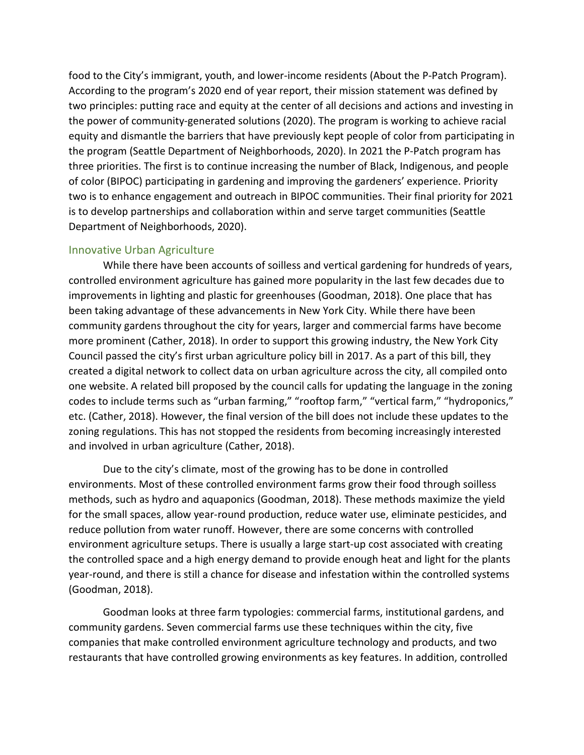food to the City's immigrant, youth, and lower-income residents (About the P-Patch Program). According to the program's 2020 end of year report, their mission statement was defined by two principles: putting race and equity at the center of all decisions and actions and investing in the power of community-generated solutions (2020). The program is working to achieve racial equity and dismantle the barriers that have previously kept people of color from participating in the program (Seattle Department of Neighborhoods, 2020). In 2021 the P-Patch program has three priorities. The first is to continue increasing the number of Black, Indigenous, and people of color (BIPOC) participating in gardening and improving the gardeners' experience. Priority two is to enhance engagement and outreach in BIPOC communities. Their final priority for 2021 is to develop partnerships and collaboration within and serve target communities (Seattle Department of Neighborhoods, 2020).

#### <span id="page-10-0"></span>Innovative Urban Agriculture

While there have been accounts of soilless and vertical gardening for hundreds of years, controlled environment agriculture has gained more popularity in the last few decades due to improvements in lighting and plastic for greenhouses (Goodman, 2018). One place that has been taking advantage of these advancements in New York City. While there have been community gardens throughout the city for years, larger and commercial farms have become more prominent (Cather, 2018). In order to support this growing industry, the New York City Council passed the city's first urban agriculture policy bill in 2017. As a part of this bill, they created a digital network to collect data on urban agriculture across the city, all compiled onto one website. A related bill proposed by the council calls for updating the language in the zoning codes to include terms such as "urban farming," "rooftop farm," "vertical farm," "hydroponics," etc. (Cather, 2018). However, the final version of the bill does not include these updates to the zoning regulations. This has not stopped the residents from becoming increasingly interested and involved in urban agriculture (Cather, 2018).

Due to the city's climate, most of the growing has to be done in controlled environments. Most of these controlled environment farms grow their food through soilless methods, such as hydro and aquaponics (Goodman, 2018). These methods maximize the yield for the small spaces, allow year-round production, reduce water use, eliminate pesticides, and reduce pollution from water runoff. However, there are some concerns with controlled environment agriculture setups. There is usually a large start-up cost associated with creating the controlled space and a high energy demand to provide enough heat and light for the plants year-round, and there is still a chance for disease and infestation within the controlled systems (Goodman, 2018).

Goodman looks at three farm typologies: commercial farms, institutional gardens, and community gardens. Seven commercial farms use these techniques within the city, five companies that make controlled environment agriculture technology and products, and two restaurants that have controlled growing environments as key features. In addition, controlled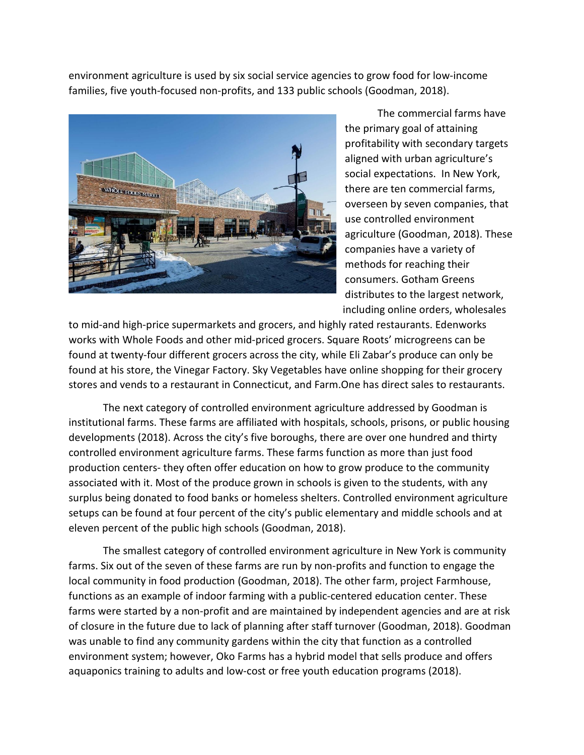environment agriculture is used by six social service agencies to grow food for low-income families, five youth-focused non-profits, and 133 public schools (Goodman, 2018).



The commercial farms have the primary goal of attaining profitability with secondary targets aligned with urban agriculture's social expectations. In New York, there are ten commercial farms, overseen by seven companies, that use controlled environment agriculture (Goodman, 2018). These companies have a variety of methods for reaching their consumers. Gotham Greens distributes to the largest network, including online orders, wholesales

to mid-and high-price supermarkets and grocers, and highly rated restaurants. Edenworks works with Whole Foods and other mid-priced grocers. Square Roots' microgreens can be found at twenty-four different grocers across the city, while Eli Zabar's produce can only be found at his store, the Vinegar Factory. Sky Vegetables have online shopping for their grocery stores and vends to a restaurant in Connecticut, and Farm.One has direct sales to restaurants.

The next category of controlled environment agriculture addressed by Goodman is institutional farms. These farms are affiliated with hospitals, schools, prisons, or public housing developments (2018). Across the city's five boroughs, there are over one hundred and thirty controlled environment agriculture farms. These farms function as more than just food production centers- they often offer education on how to grow produce to the community associated with it. Most of the produce grown in schools is given to the students, with any surplus being donated to food banks or homeless shelters. Controlled environment agriculture setups can be found at four percent of the city's public elementary and middle schools and at eleven percent of the public high schools (Goodman, 2018).

The smallest category of controlled environment agriculture in New York is community farms. Six out of the seven of these farms are run by non-profits and function to engage the local community in food production (Goodman, 2018). The other farm, project Farmhouse, functions as an example of indoor farming with a public-centered education center. These farms were started by a non-profit and are maintained by independent agencies and are at risk of closure in the future due to lack of planning after staff turnover (Goodman, 2018). Goodman was unable to find any community gardens within the city that function as a controlled environment system; however, Oko Farms has a hybrid model that sells produce and offers aquaponics training to adults and low-cost or free youth education programs (2018).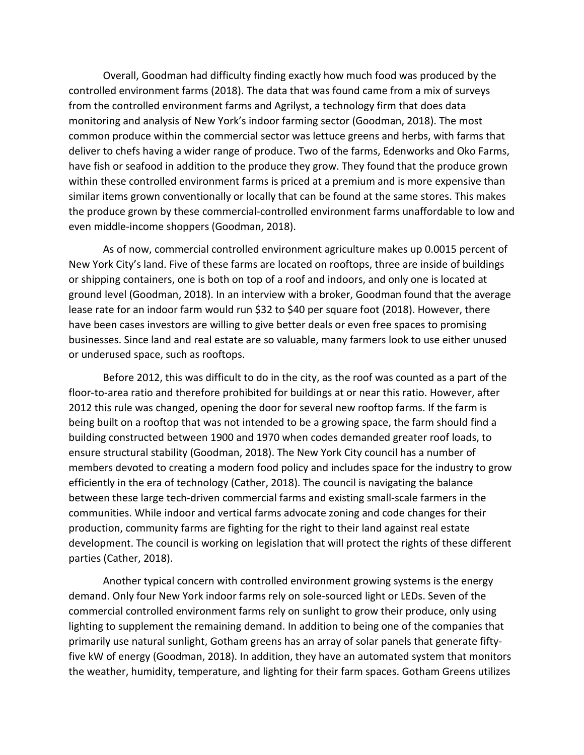Overall, Goodman had difficulty finding exactly how much food was produced by the controlled environment farms (2018). The data that was found came from a mix of surveys from the controlled environment farms and Agrilyst, a technology firm that does data monitoring and analysis of New York's indoor farming sector (Goodman, 2018). The most common produce within the commercial sector was lettuce greens and herbs, with farms that deliver to chefs having a wider range of produce. Two of the farms, Edenworks and Oko Farms, have fish or seafood in addition to the produce they grow. They found that the produce grown within these controlled environment farms is priced at a premium and is more expensive than similar items grown conventionally or locally that can be found at the same stores. This makes the produce grown by these commercial-controlled environment farms unaffordable to low and even middle-income shoppers (Goodman, 2018).

As of now, commercial controlled environment agriculture makes up 0.0015 percent of New York City's land. Five of these farms are located on rooftops, three are inside of buildings or shipping containers, one is both on top of a roof and indoors, and only one is located at ground level (Goodman, 2018). In an interview with a broker, Goodman found that the average lease rate for an indoor farm would run \$32 to \$40 per square foot (2018). However, there have been cases investors are willing to give better deals or even free spaces to promising businesses. Since land and real estate are so valuable, many farmers look to use either unused or underused space, such as rooftops.

Before 2012, this was difficult to do in the city, as the roof was counted as a part of the floor-to-area ratio and therefore prohibited for buildings at or near this ratio. However, after 2012 this rule was changed, opening the door for several new rooftop farms. If the farm is being built on a rooftop that was not intended to be a growing space, the farm should find a building constructed between 1900 and 1970 when codes demanded greater roof loads, to ensure structural stability (Goodman, 2018). The New York City council has a number of members devoted to creating a modern food policy and includes space for the industry to grow efficiently in the era of technology (Cather, 2018). The council is navigating the balance between these large tech-driven commercial farms and existing small-scale farmers in the communities. While indoor and vertical farms advocate zoning and code changes for their production, community farms are fighting for the right to their land against real estate development. The council is working on legislation that will protect the rights of these different parties (Cather, 2018).

Another typical concern with controlled environment growing systems is the energy demand. Only four New York indoor farms rely on sole-sourced light or LEDs. Seven of the commercial controlled environment farms rely on sunlight to grow their produce, only using lighting to supplement the remaining demand. In addition to being one of the companies that primarily use natural sunlight, Gotham greens has an array of solar panels that generate fiftyfive kW of energy (Goodman, 2018). In addition, they have an automated system that monitors the weather, humidity, temperature, and lighting for their farm spaces. Gotham Greens utilizes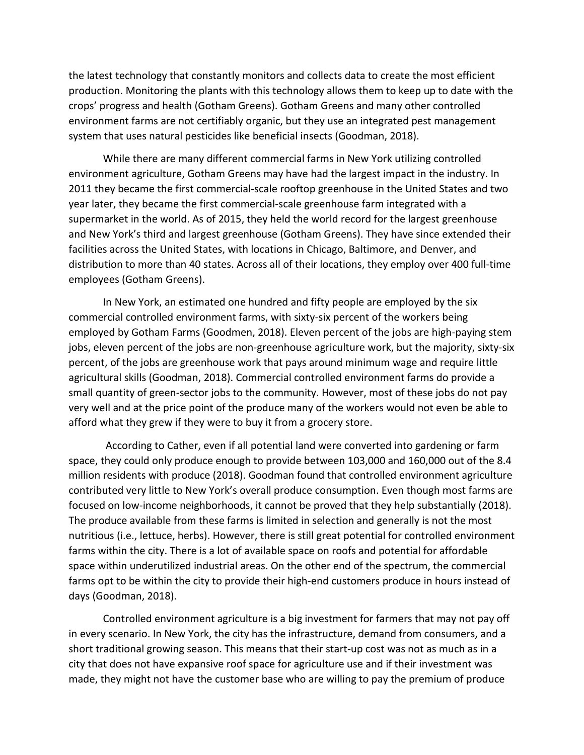the latest technology that constantly monitors and collects data to create the most efficient production. Monitoring the plants with this technology allows them to keep up to date with the crops' progress and health (Gotham Greens). Gotham Greens and many other controlled environment farms are not certifiably organic, but they use an integrated pest management system that uses natural pesticides like beneficial insects (Goodman, 2018).

While there are many different commercial farms in New York utilizing controlled environment agriculture, Gotham Greens may have had the largest impact in the industry. In 2011 they became the first commercial-scale rooftop greenhouse in the United States and two year later, they became the first commercial-scale greenhouse farm integrated with a supermarket in the world. As of 2015, they held the world record for the largest greenhouse and New York's third and largest greenhouse (Gotham Greens). They have since extended their facilities across the United States, with locations in Chicago, Baltimore, and Denver, and distribution to more than 40 states. Across all of their locations, they employ over 400 full-time employees (Gotham Greens).

In New York, an estimated one hundred and fifty people are employed by the six commercial controlled environment farms, with sixty-six percent of the workers being employed by Gotham Farms (Goodmen, 2018). Eleven percent of the jobs are high-paying stem jobs, eleven percent of the jobs are non-greenhouse agriculture work, but the majority, sixty-six percent, of the jobs are greenhouse work that pays around minimum wage and require little agricultural skills (Goodman, 2018). Commercial controlled environment farms do provide a small quantity of green-sector jobs to the community. However, most of these jobs do not pay very well and at the price point of the produce many of the workers would not even be able to afford what they grew if they were to buy it from a grocery store.

According to Cather, even if all potential land were converted into gardening or farm space, they could only produce enough to provide between 103,000 and 160,000 out of the 8.4 million residents with produce (2018). Goodman found that controlled environment agriculture contributed very little to New York's overall produce consumption. Even though most farms are focused on low-income neighborhoods, it cannot be proved that they help substantially (2018). The produce available from these farms is limited in selection and generally is not the most nutritious (i.e., lettuce, herbs). However, there is still great potential for controlled environment farms within the city. There is a lot of available space on roofs and potential for affordable space within underutilized industrial areas. On the other end of the spectrum, the commercial farms opt to be within the city to provide their high-end customers produce in hours instead of days (Goodman, 2018).

Controlled environment agriculture is a big investment for farmers that may not pay off in every scenario. In New York, the city has the infrastructure, demand from consumers, and a short traditional growing season. This means that their start-up cost was not as much as in a city that does not have expansive roof space for agriculture use and if their investment was made, they might not have the customer base who are willing to pay the premium of produce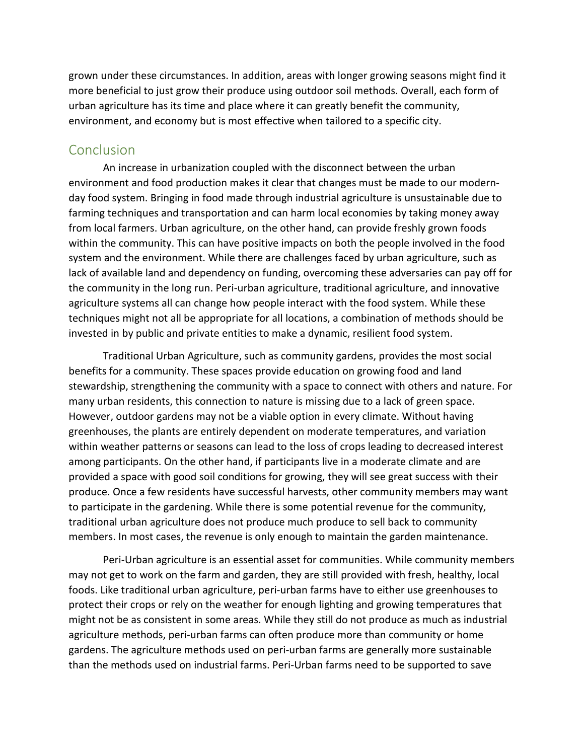grown under these circumstances. In addition, areas with longer growing seasons might find it more beneficial to just grow their produce using outdoor soil methods. Overall, each form of urban agriculture has its time and place where it can greatly benefit the community, environment, and economy but is most effective when tailored to a specific city.

## <span id="page-14-0"></span>**Conclusion**

An increase in urbanization coupled with the disconnect between the urban environment and food production makes it clear that changes must be made to our modernday food system. Bringing in food made through industrial agriculture is unsustainable due to farming techniques and transportation and can harm local economies by taking money away from local farmers. Urban agriculture, on the other hand, can provide freshly grown foods within the community. This can have positive impacts on both the people involved in the food system and the environment. While there are challenges faced by urban agriculture, such as lack of available land and dependency on funding, overcoming these adversaries can pay off for the community in the long run. Peri-urban agriculture, traditional agriculture, and innovative agriculture systems all can change how people interact with the food system. While these techniques might not all be appropriate for all locations, a combination of methods should be invested in by public and private entities to make a dynamic, resilient food system.

Traditional Urban Agriculture, such as community gardens, provides the most social benefits for a community. These spaces provide education on growing food and land stewardship, strengthening the community with a space to connect with others and nature. For many urban residents, this connection to nature is missing due to a lack of green space. However, outdoor gardens may not be a viable option in every climate. Without having greenhouses, the plants are entirely dependent on moderate temperatures, and variation within weather patterns or seasons can lead to the loss of crops leading to decreased interest among participants. On the other hand, if participants live in a moderate climate and are provided a space with good soil conditions for growing, they will see great success with their produce. Once a few residents have successful harvests, other community members may want to participate in the gardening. While there is some potential revenue for the community, traditional urban agriculture does not produce much produce to sell back to community members. In most cases, the revenue is only enough to maintain the garden maintenance.

Peri-Urban agriculture is an essential asset for communities. While community members may not get to work on the farm and garden, they are still provided with fresh, healthy, local foods. Like traditional urban agriculture, peri-urban farms have to either use greenhouses to protect their crops or rely on the weather for enough lighting and growing temperatures that might not be as consistent in some areas. While they still do not produce as much as industrial agriculture methods, peri-urban farms can often produce more than community or home gardens. The agriculture methods used on peri-urban farms are generally more sustainable than the methods used on industrial farms. Peri-Urban farms need to be supported to save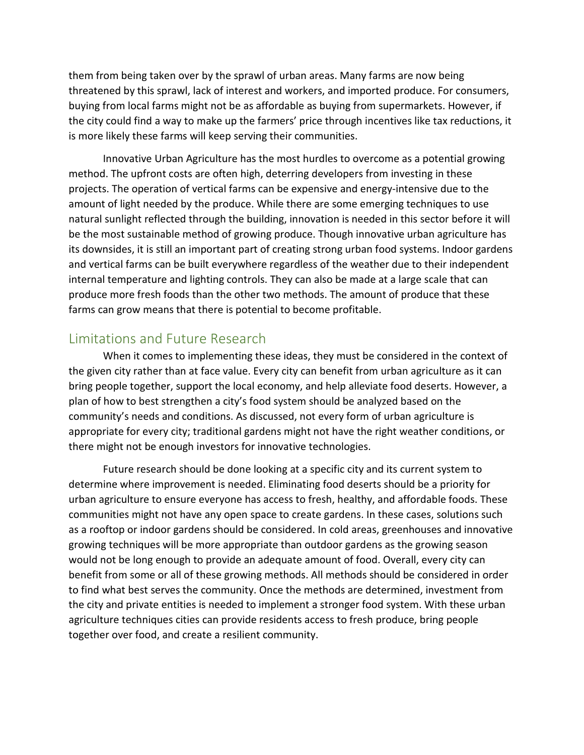them from being taken over by the sprawl of urban areas. Many farms are now being threatened by this sprawl, lack of interest and workers, and imported produce. For consumers, buying from local farms might not be as affordable as buying from supermarkets. However, if the city could find a way to make up the farmers' price through incentives like tax reductions, it is more likely these farms will keep serving their communities.

Innovative Urban Agriculture has the most hurdles to overcome as a potential growing method. The upfront costs are often high, deterring developers from investing in these projects. The operation of vertical farms can be expensive and energy-intensive due to the amount of light needed by the produce. While there are some emerging techniques to use natural sunlight reflected through the building, innovation is needed in this sector before it will be the most sustainable method of growing produce. Though innovative urban agriculture has its downsides, it is still an important part of creating strong urban food systems. Indoor gardens and vertical farms can be built everywhere regardless of the weather due to their independent internal temperature and lighting controls. They can also be made at a large scale that can produce more fresh foods than the other two methods. The amount of produce that these farms can grow means that there is potential to become profitable.

## <span id="page-15-0"></span>Limitations and Future Research

When it comes to implementing these ideas, they must be considered in the context of the given city rather than at face value. Every city can benefit from urban agriculture as it can bring people together, support the local economy, and help alleviate food deserts. However, a plan of how to best strengthen a city's food system should be analyzed based on the community's needs and conditions. As discussed, not every form of urban agriculture is appropriate for every city; traditional gardens might not have the right weather conditions, or there might not be enough investors for innovative technologies.

Future research should be done looking at a specific city and its current system to determine where improvement is needed. Eliminating food deserts should be a priority for urban agriculture to ensure everyone has access to fresh, healthy, and affordable foods. These communities might not have any open space to create gardens. In these cases, solutions such as a rooftop or indoor gardens should be considered. In cold areas, greenhouses and innovative growing techniques will be more appropriate than outdoor gardens as the growing season would not be long enough to provide an adequate amount of food. Overall, every city can benefit from some or all of these growing methods. All methods should be considered in order to find what best serves the community. Once the methods are determined, investment from the city and private entities is needed to implement a stronger food system. With these urban agriculture techniques cities can provide residents access to fresh produce, bring people together over food, and create a resilient community.